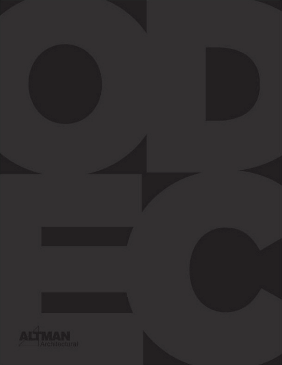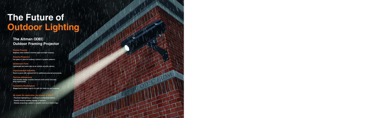## **Precise Framing**

**Stainless steel shutters minimize glare and light trespass.**

**Powerful Projection Use glass or steel for breakup, textural or graphic patterns.**

**Unobtrusive Form Lightweight and same size as an outdoor security camera.**

**Unprecedented Versatility Room to grow with onboard A/C for additional powered accessories.**

## **Tool-free Maintenance**

**User-friendly design includes internal on/off switch and easy lamp replacement.**

**Completely Weatherproof Rugged and lockable case is UL and cUL listed for wet locations.**

**No matter the application, the ans** 

- **- Precisely highlighting or coloring an architectural feature.**
- **- Exactly framing building signage or banners.**
- **- Sharply projecting a pattern or graphic such as a client's logo.**



# **The Future of Outdoor Lighting**

**The Altman ODEC Outdoor Framing Projector**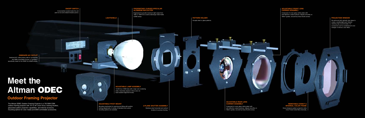The Altman ODEC Outdoor Framing Projector is a 70/150W CDM outdoor framing projector with 15<sup>o</sup> to 35<sup>o</sup> zoom focus, framing shutters, glass/steel pattern projection capabilities, and internal accessory mounting options for color media and DMX-controllable accessories.



# **ON/OFF SWITCH**

Conveniently located inside the unit (and not at some distant breaker panel.)

# **ONBOARD A/C OUTLET**

Switched A/C outlet powers add-on accessories like DMX-controllable Douser or TwinSpin™ specifically made for the ODEC by GAMProducts.

## **2-PLANE SHUTTER ASSEMBLY**

Stainless steel horizontal and vertical shutters for precise framing.

#### **PROJECTION WINDOW**

Re-einforced with optically clear glass to create a weathertight seal. Exterior retaining clips accommodate 7.5" accessories such as weatherproof color changer or dichroic color filters.

#### **ADJUSTABLE FRONT LENS CARRIER ASSEMBLY**

Composed of crown glass (white plate) with anti-reflective coated surfaces. Adjusts smoothly on Teflon® guides, secured by brass thumb screws.

#### **ADJUSTABLE LAMP ASSEMBLY**

12,000 hour CDM lamp with a high color-rendering index. Assembly adjusts in three axes via heat-resistant alignment knobs.

#### **PROPRIETARY CURVED SPECULAR ALUMINUM REFLECTOR**

Engineered to provide maximum light output from 70W or 150W G12 ceramic-discharge metal halide (CDM) lamps.

#### **REMOVABLE DONUT & INTERNAL COLOR FRAME**

Donut sharpens pattern projection while Color Frame holds filters internally.

#### **ADJUSTABLE REAR LENS CARRIER ASSEMBLY**

Composed of crown glass (white plate) with anti-reflective coated surfaces. Adjusts smoothly on Teflon® guides, secured by brass thumb screws.

# **PATTERN HOLDER** Accepts steel or glass patterns.

# **Meet the Altman ODEC**

# **Outdoor Framing Projector**

#### **ADJUSTABLE PIVOT MOUNT**

Mounting mechanism for panning and tilting with positive locking adjustments. A variety of standard and custom mounting options are available.

**LIGHTSHIELD**